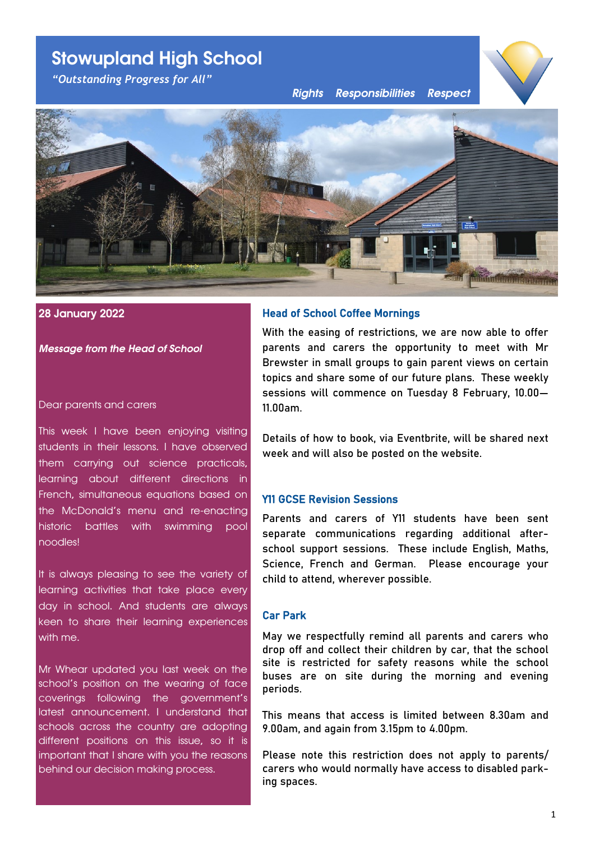# **Stowupland High School**

*"Outstanding Progress for All"*

*Rights Responsibilities Respect*





## **28 January 2022**

*Message from the Head of School*

#### Dear parents and carers

This week I have been enjoying visiting students in their lessons. I have observed them carrying out science practicals, learning about different directions in French, simultaneous equations based on the McDonald's menu and re-enacting historic battles with swimming pool noodles!

It is always pleasing to see the variety of learning activities that take place every day in school. And students are always keen to share their learning experiences with me.

Mr Whear updated you last week on the school's position on the wearing of face coverings following the government's latest announcement. I understand that schools across the country are adopting different positions on this issue, so it is important that I share with you the reasons behind our decision making process.

## Head of School Coffee Mornings

With the easing of restrictions, we are now able to offer parents and carers the opportunity to meet with Mr Brewster in small groups to gain parent views on certain topics and share some of our future plans. These weekly sessions will commence on Tuesday 8 February, 10.00— 11.00am.

Details of how to book, via Eventbrite, will be shared next week and will also be posted on the website.

## Y11 GCSE Revision Sessions

Parents and carers of Y11 students have been sent separate communications regarding additional afterschool support sessions. These include English, Maths, Science, French and German. Please encourage your child to attend, wherever possible.

#### Car Park

May we respectfully remind all parents and carers who drop off and collect their children by car, that the school site is restricted for safety reasons while the school buses are on site during the morning and evening periods.

This means that access is limited between 8.30am and 9.00am, and again from 3.15pm to 4.00pm.

Please note this restriction does not apply to parents/ carers who would normally have access to disabled parking spaces.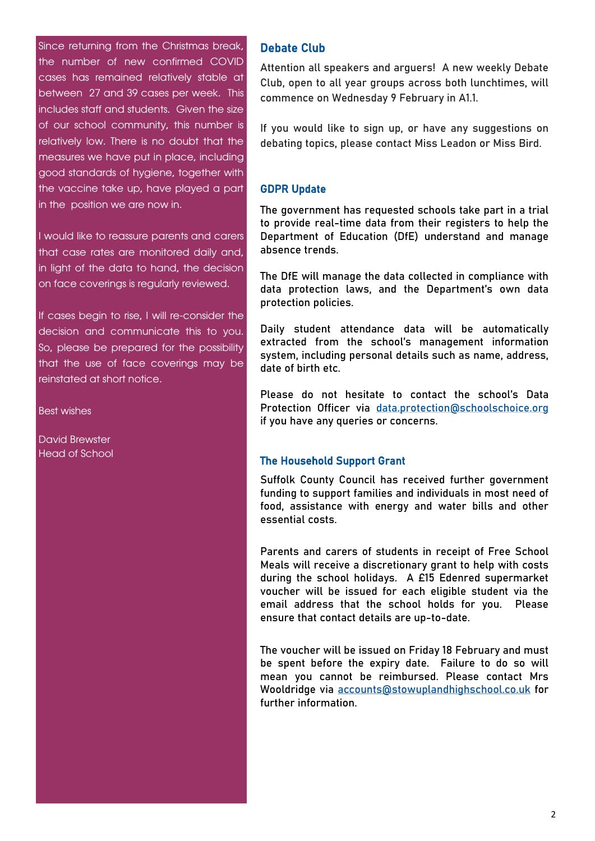<span id="page-1-0"></span>Since returning from the Christmas break, the number of new confirmed COVID cases has remained relatively stable at between 27 and 39 cases per week. This includes staff and students. Given the size of our school community, this number is relatively low. There is no doubt that the measures we have put in place, including good standards of hygiene, together with the vaccine take up, have played a part in the position we are now in.

I would like to reassure parents and carers that case rates are monitored daily and, in light of the data to hand, the decision on face coverings is regularly reviewed.

If cases begin to rise, I will re-consider the decision and communicate this to you. So, please be prepared for the possibility that the use of face coverings may be reinstated at short notice.

Best wishes

David Brewster Head of School

## Debate Club

Attention all speakers and arguers! A new weekly Debate Club, open to all year groups across both lunchtimes, will commence on Wednesday 9 February in A1.1.

If you would like to sign up, or have any suggestions on debating topics, please contact Miss Leadon or Miss Bird.

## GDPR Update

The government has requested schools take part in a trial to provide real-time data from their registers to help the Department of Education (DfE) understand and manage absence trends.

The DfE will manage the data collected in compliance with data protection laws, and the Department's own data protection policies.

Daily student attendance data will be automatically extracted from the school's management information system, including personal details such as name, address, date of birth etc.

Please do not hesitate to contact the school's Data Protection Officer via [data.protection@schoolschoice.org](#page-1-0) if you have any queries or concerns.

## The Household Support Grant

Suffolk County Council has received further government funding to support families and individuals in most need of food, assistance with energy and water bills and other essential costs.

Parents and carers of students in receipt of Free School Meals will receive a discretionary grant to help with costs during the school holidays. A £15 Edenred supermarket voucher will be issued for each eligible student via the email address that the school holds for you. Please ensure that contact details are up-to-date.

The voucher will be issued on Friday 18 February and must be spent before the expiry date. Failure to do so will mean you cannot be reimbursed. Please contact Mrs Wooldridge via [accounts@stowuplandhighschool.co.uk](mailto:accounts@stowuplandhighschool.co.uk) for further information.